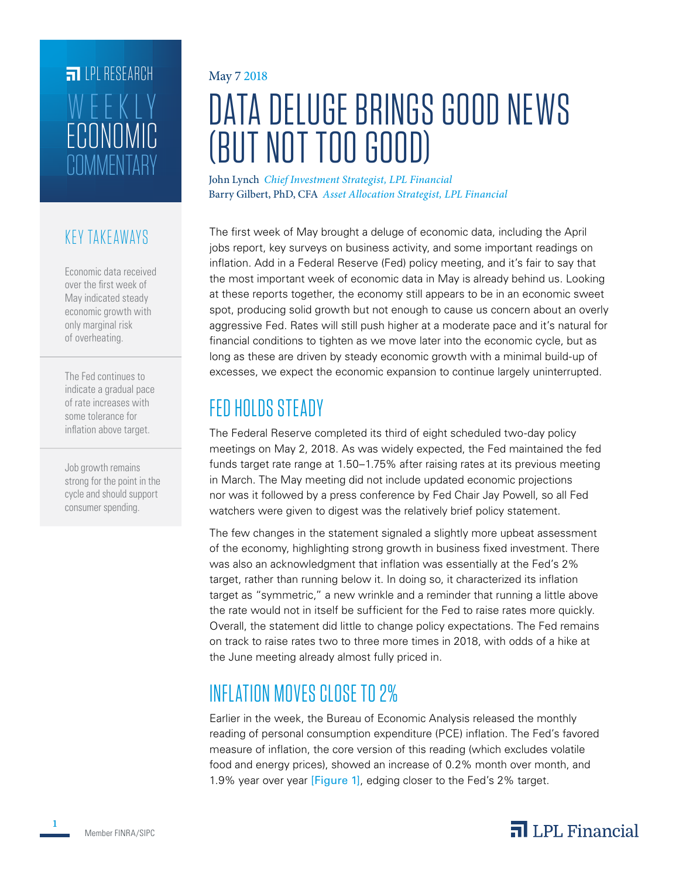# **FILLE** LPL RESEARCH **COMMENTARY** ECONOMIC WEEKLY

### KEY TAKEAWAYS

Economic data received over the first week of May indicated steady economic growth with only marginal risk of overheating.

The Fed continues to indicate a gradual pace of rate increases with some tolerance for inflation above target.

Job growth remains strong for the point in the cycle and should support consumer spending.

### May 7 2018

# DATA DELUGE BRINGS GOOD NEWS (BUT NOT TOO GOOD)

John Lynch *Chief Investment Strategist, LPL Financial* Barry Gilbert, PhD, CFA *Asset Allocation Strategist, LPL Financial*

The first week of May brought a deluge of economic data, including the April jobs report, key surveys on business activity, and some important readings on inflation. Add in a Federal Reserve (Fed) policy meeting, and it's fair to say that the most important week of economic data in May is already behind us. Looking at these reports together, the economy still appears to be in an economic sweet spot, producing solid growth but not enough to cause us concern about an overly aggressive Fed. Rates will still push higher at a moderate pace and it's natural for financial conditions to tighten as we move later into the economic cycle, but as long as these are driven by steady economic growth with a minimal build-up of excesses, we expect the economic expansion to continue largely uninterrupted.

# FED HOLDS STEADY

The Federal Reserve completed its third of eight scheduled two-day policy meetings on May 2, 2018. As was widely expected, the Fed maintained the fed funds target rate range at 1.50–1.75% after raising rates at its previous meeting in March. The May meeting did not include updated economic projections nor was it followed by a press conference by Fed Chair Jay Powell, so all Fed watchers were given to digest was the relatively brief policy statement.

The few changes in the statement signaled a slightly more upbeat assessment of the economy, highlighting strong growth in business fixed investment. There was also an acknowledgment that inflation was essentially at the Fed's 2% target, rather than running below it. In doing so, it characterized its inflation target as "symmetric," a new wrinkle and a reminder that running a little above the rate would not in itself be sufficient for the Fed to raise rates more quickly. Overall, the statement did little to change policy expectations. The Fed remains on track to raise rates two to three more times in 2018, with odds of a hike at the June meeting already almost fully priced in.

# INFLATION MOVES CLOSE TO 2%

Earlier in the week, the Bureau of Economic Analysis released the monthly reading of personal consumption expenditure (PCE) inflation. The Fed's favored measure of inflation, the core version of this reading (which excludes volatile food and energy prices), showed an increase of 0.2% month over month, and 1.9% year over year [Figure 1], edging closer to the Fed's 2% target.



**1**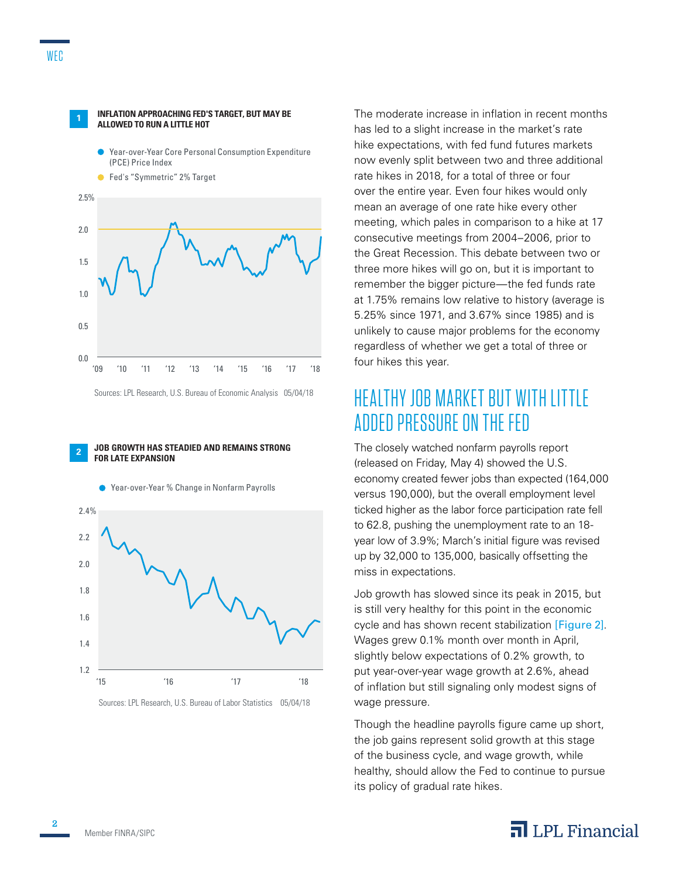

**<sup>1</sup>INFLATION APPROACHING FED'S TARGET, BUT MAY BE** 

**ALLOWED TO RUN A LITTLE HOT**

Sources: LPL Research, U.S. Bureau of Economic Analysis 05/04/18

#### **<sup>2</sup>JOB GROWTH HAS STEADIED AND REMAINS STRONG FOR LATE EXPANSION**





Sources: LPL Research, U.S. Bureau of Labor Statistics 05/04/18

The moderate increase in inflation in recent months has led to a slight increase in the market's rate hike expectations, with fed fund futures markets now evenly split between two and three additional rate hikes in 2018, for a total of three or four over the entire year. Even four hikes would only mean an average of one rate hike every other meeting, which pales in comparison to a hike at 17 consecutive meetings from 2004–2006, prior to the Great Recession. This debate between two or three more hikes will go on, but it is important to remember the bigger picture—the fed funds rate at 1.75% remains low relative to history (average is 5.25% since 1971, and 3.67% since 1985) and is unlikely to cause major problems for the economy regardless of whether we get a total of three or four hikes this year.

### HEALTHY JOB MARKET BUT WITH LIT TLE ADDED PRESSURE ON THE FED

The closely watched nonfarm payrolls report (released on Friday, May 4) showed the U.S. economy created fewer jobs than expected (164,000 versus 190,000), but the overall employment level ticked higher as the labor force participation rate fell to 62.8, pushing the unemployment rate to an 18 year low of 3.9%; March's initial figure was revised up by 32,000 to 135,000, basically offsetting the miss in expectations.

Job growth has slowed since its peak in 2015, but is still very healthy for this point in the economic cycle and has shown recent stabilization [Figure 2]. Wages grew 0.1% month over month in April, slightly below expectations of 0.2% growth, to put year-over-year wage growth at 2.6%, ahead of inflation but still signaling only modest signs of wage pressure.

Though the headline payrolls figure came up short, the job gains represent solid growth at this stage of the business cycle, and wage growth, while healthy, should allow the Fed to continue to pursue its policy of gradual rate hikes.

### $\overline{\mathbf{a}}$  LPL Financial

**2**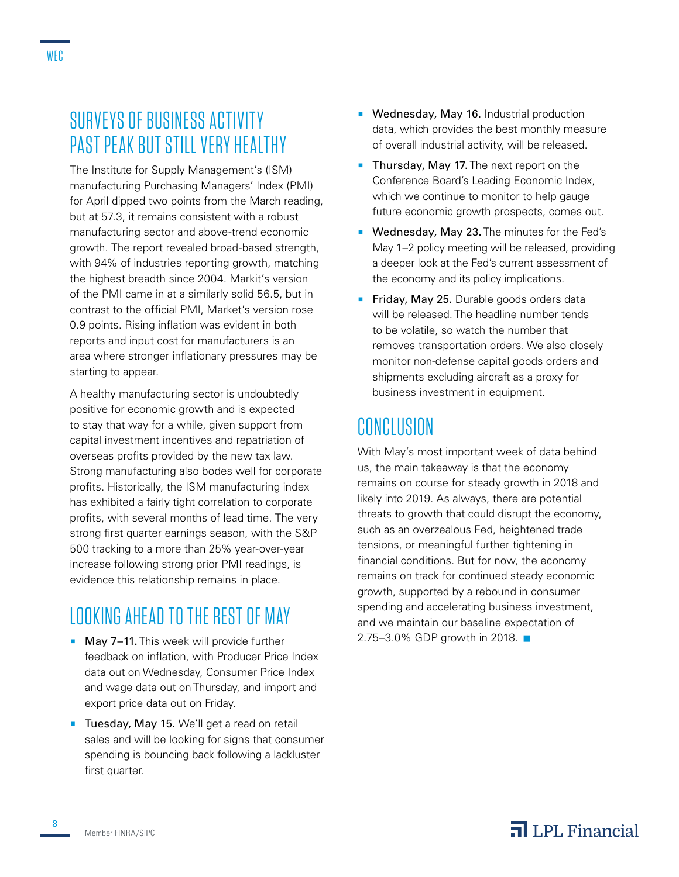# SURVEYS OF BUSINESS ACTIVITY PAST PEAK BUT STILL VERY HEALTHY

The Institute for Supply Management's (ISM) manufacturing Purchasing Managers' Index (PMI) for April dipped two points from the March reading, but at 57.3, it remains consistent with a robust manufacturing sector and above-trend economic growth. The report revealed broad-based strength, with 94% of industries reporting growth, matching the highest breadth since 2004. Markit's version of the PMI came in at a similarly solid 56.5, but in contrast to the official PMI, Market's version rose 0.9 points. Rising inflation was evident in both reports and input cost for manufacturers is an area where stronger inflationary pressures may be starting to appear.

A healthy manufacturing sector is undoubtedly positive for economic growth and is expected to stay that way for a while, given support from capital investment incentives and repatriation of overseas profits provided by the new tax law. Strong manufacturing also bodes well for corporate profits. Historically, the ISM manufacturing index has exhibited a fairly tight correlation to corporate profits, with several months of lead time. The very strong first quarter earnings season, with the S&P 500 tracking to a more than 25% year-over-year increase following strong prior PMI readings, is evidence this relationship remains in place.

# LOOKING AHEAD TO THE REST OF MAY

- May 7-11. This week will provide further feedback on inflation, with Producer Price Index data out on Wednesday, Consumer Price Index and wage data out on Thursday, and import and export price data out on Friday.
- **Tuesday, May 15.** We'll get a read on retail sales and will be looking for signs that consumer spending is bouncing back following a lackluster first quarter.
- **Wednesday, May 16.** Industrial production data, which provides the best monthly measure of overall industrial activity, will be released.
- **Thursday, May 17.** The next report on the Conference Board's Leading Economic Index, which we continue to monitor to help gauge future economic growth prospects, comes out.
- **Wednesday, May 23. The minutes for the Fed's** May 1–2 policy meeting will be released, providing a deeper look at the Fed's current assessment of the economy and its policy implications.
- **Friday, May 25.** Durable goods orders data will be released. The headline number tends to be volatile, so watch the number that removes transportation orders. We also closely monitor non-defense capital goods orders and shipments excluding aircraft as a proxy for business investment in equipment.

# CONCLUSION

With May's most important week of data behind us, the main takeaway is that the economy remains on course for steady growth in 2018 and likely into 2019. As always, there are potential threats to growth that could disrupt the economy, such as an overzealous Fed, heightened trade tensions, or meaningful further tightening in financial conditions. But for now, the economy remains on track for continued steady economic growth, supported by a rebound in consumer spending and accelerating business investment, and we maintain our baseline expectation of 2.75–3.0% GDP growth in 2018.  $\blacksquare$ 

**3**

### $\overline{\mathbf{a}}$  LPL Financial